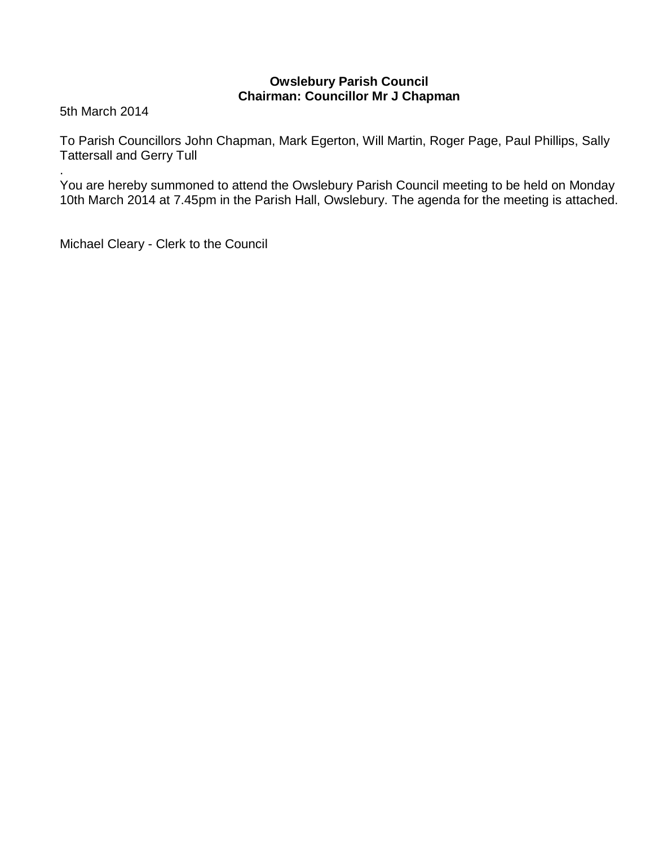# **Owslebury Parish Council Chairman: Councillor Mr J Chapman**

5th March 2014

.

To Parish Councillors John Chapman, Mark Egerton, Will Martin, Roger Page, Paul Phillips, Sally Tattersall and Gerry Tull

You are hereby summoned to attend the Owslebury Parish Council meeting to be held on Monday 10th March 2014 at 7.45pm in the Parish Hall, Owslebury. The agenda for the meeting is attached.

Michael Cleary - Clerk to the Council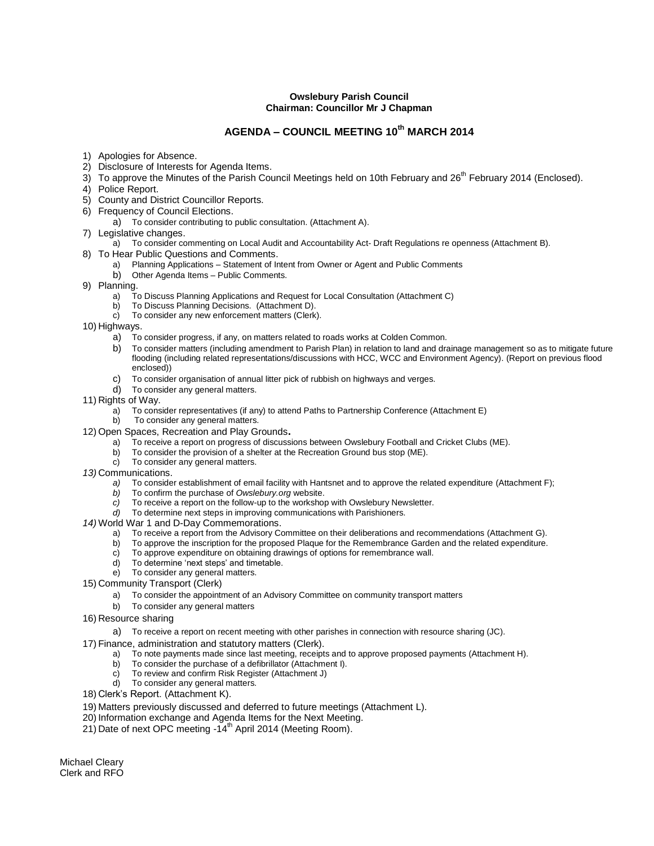#### **Owslebury Parish Council Chairman: Councillor Mr J Chapman**

# **AGENDA – COUNCIL MEETING 10th MARCH 2014**

- 1) Apologies for Absence.
- 2) Disclosure of Interests for Agenda Items.
- $3)$  To approve the Minutes of the Parish Council Meetings held on 10th February and 26<sup>th</sup> February 2014 (Enclosed).
- 4) Police Report.
- 5) County and District Councillor Reports.
- 6) Frequency of Council Elections.
	- a) To consider contributing to public consultation. (Attachment A).
- 7) Legislative changes.
- a) To consider commenting on Local Audit and Accountability Act- Draft Regulations re openness (Attachment B).
- 8) To Hear Public Questions and Comments.
	- a) Planning Applications Statement of Intent from Owner or Agent and Public Comments
	- b) Other Agenda Items Public Comments.
- 9) Planning.
	- a) To Discuss Planning Applications and Request for Local Consultation (Attachment C)
	- b) To Discuss Planning Decisions. (Attachment D).
	- c) To consider any new enforcement matters (Clerk).
- 10) Highways.
	- a) To consider progress, if any, on matters related to roads works at Colden Common.
	- b) To consider matters (including amendment to Parish Plan) in relation to land and drainage management so as to mitigate future flooding (including related representations/discussions with HCC, WCC and Environment Agency). (Report on previous flood enclosed))
	- c) To consider organisation of annual litter pick of rubbish on highways and verges.
	- d) To consider any general matters.
- 11) Rights of Way.
	- a) To consider representatives (if any) to attend Paths to Partnership Conference (Attachment E)
	- b) To consider any general matters.
- 12) Open Spaces, Recreation and Play Grounds**.**
	- a) To receive a report on progress of discussions between Owslebury Football and Cricket Clubs (ME).
	- b) To consider the provision of a shelter at the Recreation Ground bus stop (ME).
	- c) To consider any general matters.
- *13)* Communications.
	- *a)* To consider establishment of email facility with Hantsnet and to approve the related expenditure (Attachment F);
	- *b)* To confirm the purchase of *Owslebury.org* website.
	- *c)* To receive a report on the follow-up to the workshop with Owslebury Newsletter.
	- *d)* To determine next steps in improving communications with Parishioners.
- *14)* World War 1 and D-Day Commemorations.
	- a) To receive a report from the Advisory Committee on their deliberations and recommendations (Attachment G).
	- b) To approve the inscription for the proposed Plaque for the Remembrance Garden and the related expenditure.
	- c) To approve expenditure on obtaining drawings of options for remembrance wall.
	- d) To determine 'next steps' and timetable.
	- e) To consider any general matters.
- 15) Community Transport (Clerk)
	- a) To consider the appointment of an Advisory Committee on community transport matters
	- b) To consider any general matters
- 16) Resource sharing
	- a) To receive a report on recent meeting with other parishes in connection with resource sharing (JC).
- 17) Finance, administration and statutory matters (Clerk).
	- a) To note payments made since last meeting, receipts and to approve proposed payments (Attachment H).
	- b) To consider the purchase of a defibrillator (Attachment I).
	- c) To review and confirm Risk Register (Attachment J)
	- d) To consider any general matters.
- 18) Clerk's Report. (Attachment K).
- 19) Matters previously discussed and deferred to future meetings (Attachment L).
- 20) Information exchange and Agenda Items for the Next Meeting.
- 21) Date of next OPC meeting  $-14^{th}$  April 2014 (Meeting Room).

Michael Cleary Clerk and RFO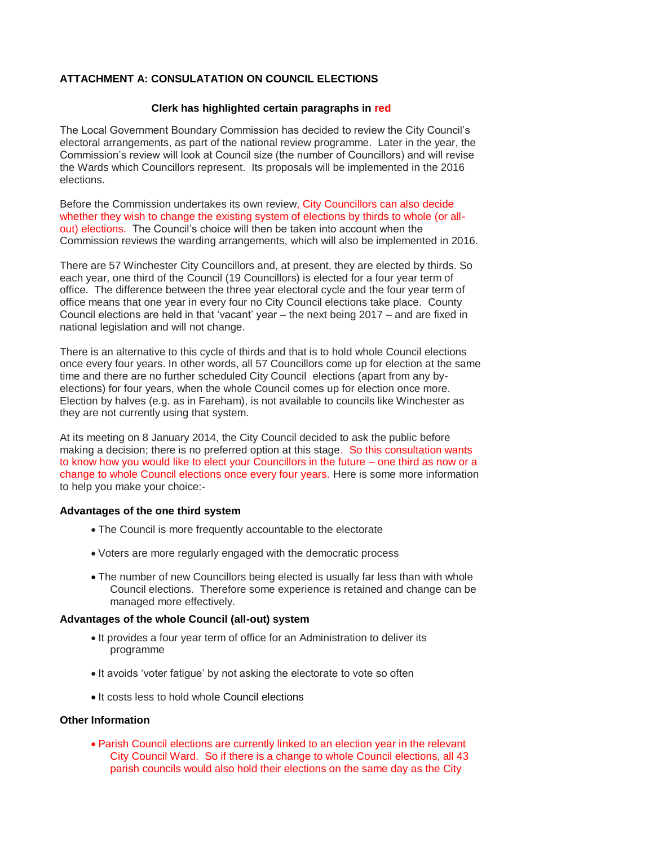### **ATTACHMENT A: CONSULATATION ON COUNCIL ELECTIONS**

#### **Clerk has highlighted certain paragraphs in red**

The Local Government Boundary Commission has decided to review the City Council's electoral arrangements, as part of the national review programme. Later in the year, the Commission's review will look at Council size (the number of Councillors) and will revise the Wards which Councillors represent. Its proposals will be implemented in the 2016 elections.

Before the Commission undertakes its own review, City Councillors can also decide whether they wish to change the existing system of elections by thirds to whole (or allout) elections. The Council's choice will then be taken into account when the Commission reviews the warding arrangements, which will also be implemented in 2016.

There are 57 Winchester City Councillors and, at present, they are elected by thirds. So each year, one third of the Council (19 Councillors) is elected for a four year term of office. The difference between the three year electoral cycle and the four year term of office means that one year in every four no City Council elections take place. County Council elections are held in that 'vacant' year – the next being 2017 – and are fixed in national legislation and will not change.

There is an alternative to this cycle of thirds and that is to hold whole Council elections once every four years. In other words, all 57 Councillors come up for election at the same time and there are no further scheduled City Council elections (apart from any byelections) for four years, when the whole Council comes up for election once more. Election by halves (e.g. as in Fareham), is not available to councils like Winchester as they are not currently using that system.

At its meeting on 8 January 2014, the City Council decided to ask the public before making a decision; there is no preferred option at this stage. So this consultation wants to know how you would like to elect your Councillors in the future – one third as now or a change to whole Council elections once every four years. Here is some more information to help you make your choice:-

#### **Advantages of the one third system**

- The Council is more frequently accountable to the electorate
- Voters are more regularly engaged with the democratic process
- The number of new Councillors being elected is usually far less than with whole Council elections. Therefore some experience is retained and change can be managed more effectively.

#### **Advantages of the whole Council (all-out) system**

- It provides a four year term of office for an Administration to deliver its programme
- It avoids 'voter fatique' by not asking the electorate to vote so often
- It costs less to hold whole Council elections

### **Other Information**

 Parish Council elections are currently linked to an election year in the relevant City Council Ward. So if there is a change to whole Council elections, all 43 parish councils would also hold their elections on the same day as the City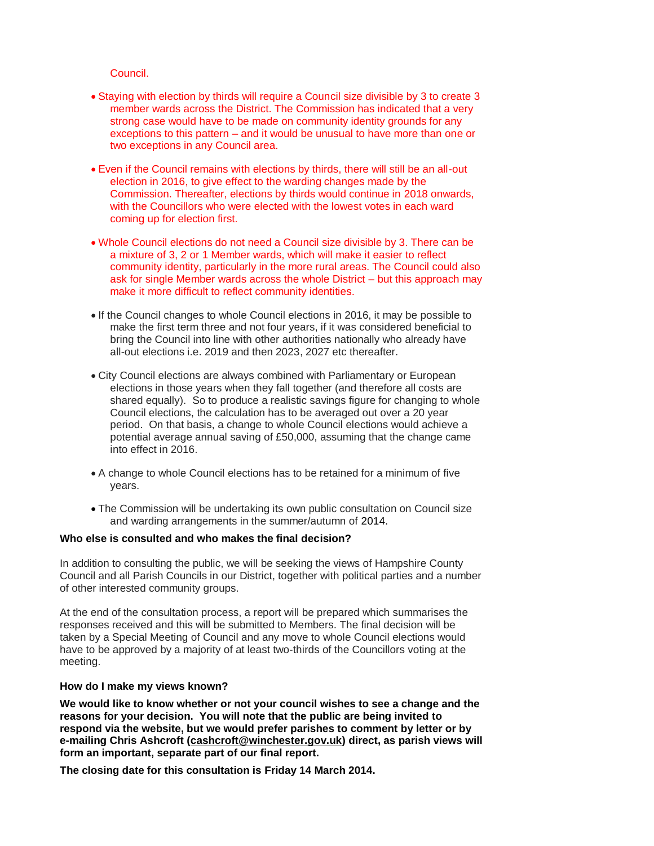Council.

- Staying with election by thirds will require a Council size divisible by 3 to create 3 member wards across the District. The Commission has indicated that a very strong case would have to be made on community identity grounds for any exceptions to this pattern – and it would be unusual to have more than one or two exceptions in any Council area.
- Even if the Council remains with elections by thirds, there will still be an all-out election in 2016, to give effect to the warding changes made by the Commission. Thereafter, elections by thirds would continue in 2018 onwards, with the Councillors who were elected with the lowest votes in each ward coming up for election first.
- Whole Council elections do not need a Council size divisible by 3. There can be a mixture of 3, 2 or 1 Member wards, which will make it easier to reflect community identity, particularly in the more rural areas. The Council could also ask for single Member wards across the whole District – but this approach may make it more difficult to reflect community identities.
- If the Council changes to whole Council elections in 2016, it may be possible to make the first term three and not four years, if it was considered beneficial to bring the Council into line with other authorities nationally who already have all-out elections i.e. 2019 and then 2023, 2027 etc thereafter.
- City Council elections are always combined with Parliamentary or European elections in those years when they fall together (and therefore all costs are shared equally). So to produce a realistic savings figure for changing to whole Council elections, the calculation has to be averaged out over a 20 year period. On that basis, a change to whole Council elections would achieve a potential average annual saving of £50,000, assuming that the change came into effect in 2016.
- A change to whole Council elections has to be retained for a minimum of five years.
- The Commission will be undertaking its own public consultation on Council size and warding arrangements in the summer/autumn of 2014.

#### **Who else is consulted and who makes the final decision?**

In addition to consulting the public, we will be seeking the views of Hampshire County Council and all Parish Councils in our District, together with political parties and a number of other interested community groups.

At the end of the consultation process, a report will be prepared which summarises the responses received and this will be submitted to Members. The final decision will be taken by a Special Meeting of Council and any move to whole Council elections would have to be approved by a majority of at least two-thirds of the Councillors voting at the meeting.

#### **How do I make my views known?**

**We would like to know whether or not your council wishes to see a change and the reasons for your decision. You will note that the public are being invited to respond via the website, but we would prefer parishes to comment by letter or by e-mailing Chris Ashcroft [\(cashcroft@winchester.gov.uk\)](mailto:cashcroft@winchester.gov.uk) direct, as parish views will form an important, separate part of our final report.**

**The closing date for this consultation is Friday 14 March 2014.**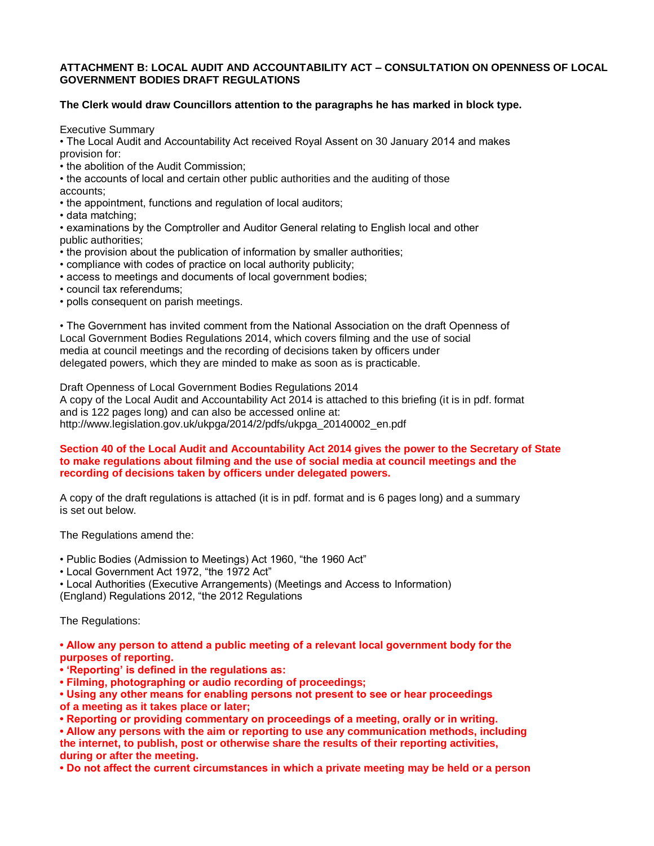#### **ATTACHMENT B: LOCAL AUDIT AND ACCOUNTABILITY ACT – CONSULTATION ON OPENNESS OF LOCAL GOVERNMENT BODIES DRAFT REGULATIONS**

### **The Clerk would draw Councillors attention to the paragraphs he has marked in block type.**

Executive Summary

• The Local Audit and Accountability Act received Royal Assent on 30 January 2014 and makes provision for:

• the abolition of the Audit Commission;

• the accounts of local and certain other public authorities and the auditing of those accounts;

• the appointment, functions and regulation of local auditors;

• data matching;

• examinations by the Comptroller and Auditor General relating to English local and other public authorities;

• the provision about the publication of information by smaller authorities;

• compliance with codes of practice on local authority publicity;

• access to meetings and documents of local government bodies;

- council tax referendums;
- polls consequent on parish meetings.

• The Government has invited comment from the National Association on the draft Openness of Local Government Bodies Regulations 2014, which covers filming and the use of social media at council meetings and the recording of decisions taken by officers under delegated powers, which they are minded to make as soon as is practicable.

Draft Openness of Local Government Bodies Regulations 2014 A copy of the Local Audit and Accountability Act 2014 is attached to this briefing (it is in pdf. format and is 122 pages long) and can also be accessed online at: http://www.legislation.gov.uk/ukpga/2014/2/pdfs/ukpga\_20140002\_en.pdf

#### **Section 40 of the Local Audit and Accountability Act 2014 gives the power to the Secretary of State to make regulations about filming and the use of social media at council meetings and the recording of decisions taken by officers under delegated powers.**

A copy of the draft regulations is attached (it is in pdf. format and is 6 pages long) and a summary is set out below.

The Regulations amend the:

• Public Bodies (Admission to Meetings) Act 1960, "the 1960 Act"

• Local Government Act 1972, "the 1972 Act"

• Local Authorities (Executive Arrangements) (Meetings and Access to Information) (England) Regulations 2012, "the 2012 Regulations

The Regulations:

**• Allow any person to attend a public meeting of a relevant local government body for the purposes of reporting.** 

**• 'Reporting' is defined in the regulations as:** 

**• Filming, photographing or audio recording of proceedings;** 

**• Using any other means for enabling persons not present to see or hear proceedings of a meeting as it takes place or later;** 

**• Reporting or providing commentary on proceedings of a meeting, orally or in writing.** 

**• Allow any persons with the aim or reporting to use any communication methods, including the internet, to publish, post or otherwise share the results of their reporting activities, during or after the meeting.** 

**• Do not affect the current circumstances in which a private meeting may be held or a person**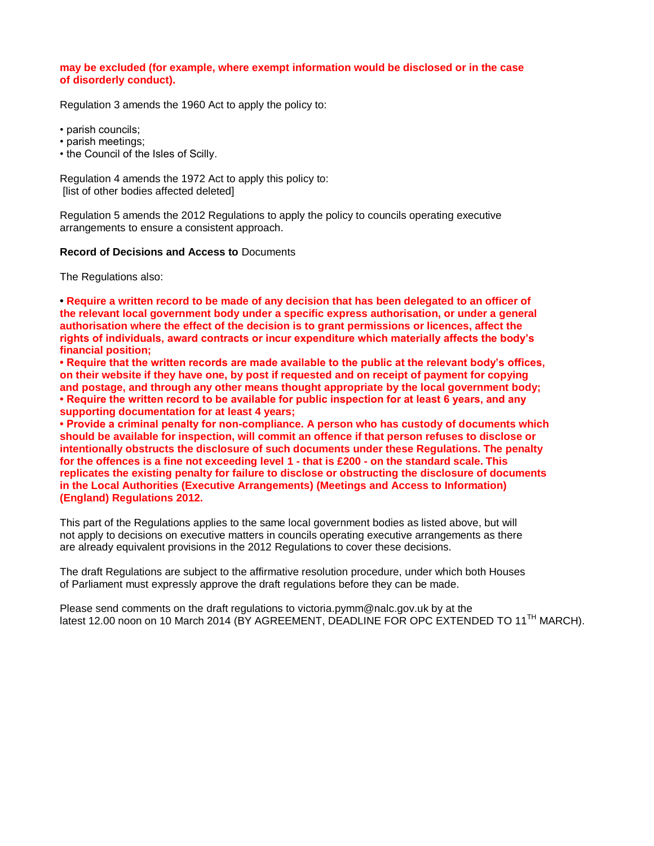#### **may be excluded (for example, where exempt information would be disclosed or in the case of disorderly conduct).**

Regulation 3 amends the 1960 Act to apply the policy to:

• parish councils;

- parish meetings;
- the Council of the Isles of Scilly.

Regulation 4 amends the 1972 Act to apply this policy to: [list of other bodies affected deleted]

Regulation 5 amends the 2012 Regulations to apply the policy to councils operating executive arrangements to ensure a consistent approach.

#### **Record of Decisions and Access to** Documents

The Regulations also:

**• Require a written record to be made of any decision that has been delegated to an officer of the relevant local government body under a specific express authorisation, or under a general authorisation where the effect of the decision is to grant permissions or licences, affect the rights of individuals, award contracts or incur expenditure which materially affects the body's financial position;** 

**• Require that the written records are made available to the public at the relevant body's offices, on their website if they have one, by post if requested and on receipt of payment for copying and postage, and through any other means thought appropriate by the local government body; • Require the written record to be available for public inspection for at least 6 years, and any supporting documentation for at least 4 years;** 

**• Provide a criminal penalty for non-compliance. A person who has custody of documents which should be available for inspection, will commit an offence if that person refuses to disclose or intentionally obstructs the disclosure of such documents under these Regulations. The penalty for the offences is a fine not exceeding level 1 - that is £200 - on the standard scale. This replicates the existing penalty for failure to disclose or obstructing the disclosure of documents in the Local Authorities (Executive Arrangements) (Meetings and Access to Information) (England) Regulations 2012.** 

This part of the Regulations applies to the same local government bodies as listed above, but will not apply to decisions on executive matters in councils operating executive arrangements as there are already equivalent provisions in the 2012 Regulations to cover these decisions.

The draft Regulations are subject to the affirmative resolution procedure, under which both Houses of Parliament must expressly approve the draft regulations before they can be made.

Please send comments on the draft regulations to victoria.pymm@nalc.gov.uk by at the latest 12.00 noon on 10 March 2014 (BY AGREEMENT, DEADLINE FOR OPC EXTENDED TO 11<sup>TH</sup> MARCH).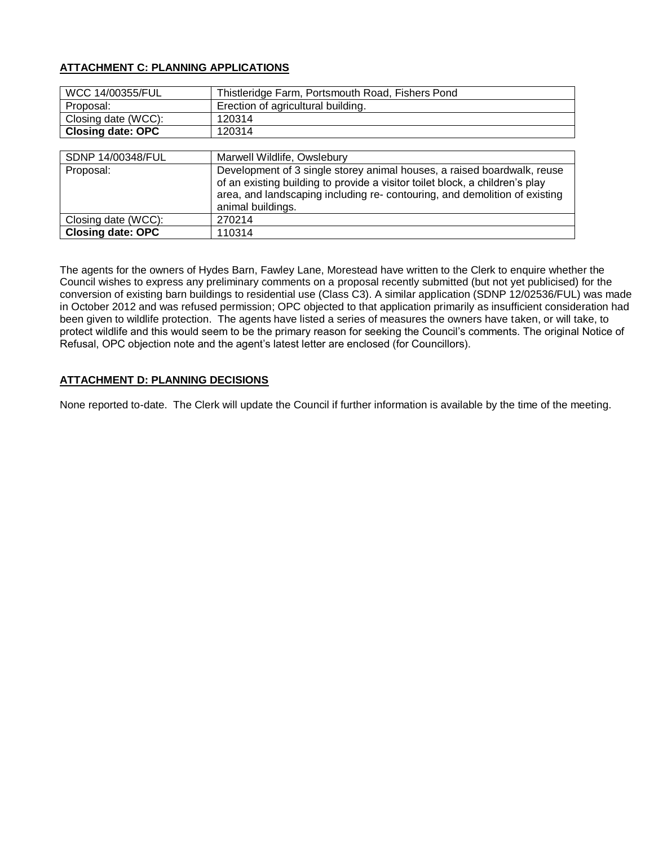## **ATTACHMENT C: PLANNING APPLICATIONS**

| WCC 14/00355/FUL         | Thistleridge Farm, Portsmouth Road, Fishers Pond |
|--------------------------|--------------------------------------------------|
| Proposal:                | Erection of agricultural building.               |
| Closing date (WCC):      | 120314                                           |
| <b>Closing date: OPC</b> | 120314                                           |
|                          |                                                  |

| SDNP 14/00348/FUL        | Marwell Wildlife, Owslebury                                                                                                                                                                                                                               |
|--------------------------|-----------------------------------------------------------------------------------------------------------------------------------------------------------------------------------------------------------------------------------------------------------|
| Proposal:                | Development of 3 single storey animal houses, a raised boardwalk, reuse<br>of an existing building to provide a visitor toilet block, a children's play<br>area, and landscaping including re-contouring, and demolition of existing<br>animal buildings. |
| Closing date (WCC):      | 270214                                                                                                                                                                                                                                                    |
| <b>Closing date: OPC</b> | 110314                                                                                                                                                                                                                                                    |

The agents for the owners of Hydes Barn, Fawley Lane, Morestead have written to the Clerk to enquire whether the Council wishes to express any preliminary comments on a proposal recently submitted (but not yet publicised) for the conversion of existing barn buildings to residential use (Class C3). A similar application (SDNP 12/02536/FUL) was made in October 2012 and was refused permission; OPC objected to that application primarily as insufficient consideration had been given to wildlife protection. The agents have listed a series of measures the owners have taken, or will take, to protect wildlife and this would seem to be the primary reason for seeking the Council's comments. The original Notice of Refusal, OPC objection note and the agent's latest letter are enclosed (for Councillors).

### **ATTACHMENT D: PLANNING DECISIONS**

None reported to-date. The Clerk will update the Council if further information is available by the time of the meeting.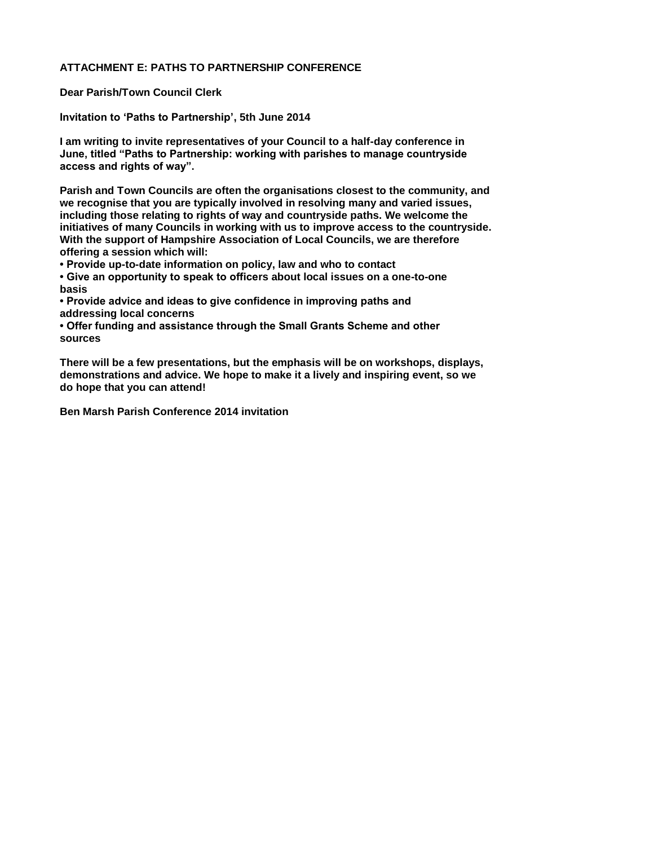### **ATTACHMENT E: PATHS TO PARTNERSHIP CONFERENCE**

**Dear Parish/Town Council Clerk** 

**Invitation to 'Paths to Partnership', 5th June 2014** 

**I am writing to invite representatives of your Council to a half-day conference in June, titled "Paths to Partnership: working with parishes to manage countryside access and rights of way".** 

**Parish and Town Councils are often the organisations closest to the community, and we recognise that you are typically involved in resolving many and varied issues, including those relating to rights of way and countryside paths. We welcome the initiatives of many Councils in working with us to improve access to the countryside. With the support of Hampshire Association of Local Councils, we are therefore offering a session which will:** 

**• Provide up-to-date information on policy, law and who to contact** 

**• Give an opportunity to speak to officers about local issues on a one-to-one basis** 

**• Provide advice and ideas to give confidence in improving paths and addressing local concerns** 

**• Offer funding and assistance through the Small Grants Scheme and other sources** 

**There will be a few presentations, but the emphasis will be on workshops, displays, demonstrations and advice. We hope to make it a lively and inspiring event, so we do hope that you can attend!** 

**Ben Marsh Parish Conference 2014 invitation**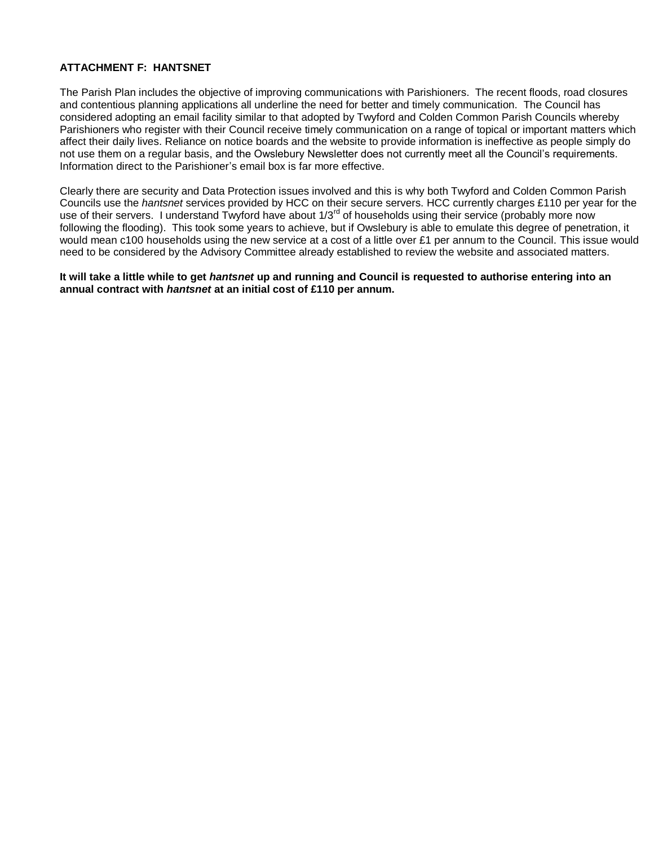### **ATTACHMENT F: HANTSNET**

The Parish Plan includes the objective of improving communications with Parishioners. The recent floods, road closures and contentious planning applications all underline the need for better and timely communication. The Council has considered adopting an email facility similar to that adopted by Twyford and Colden Common Parish Councils whereby Parishioners who register with their Council receive timely communication on a range of topical or important matters which affect their daily lives. Reliance on notice boards and the website to provide information is ineffective as people simply do not use them on a regular basis, and the Owslebury Newsletter does not currently meet all the Council's requirements. Information direct to the Parishioner's email box is far more effective.

Clearly there are security and Data Protection issues involved and this is why both Twyford and Colden Common Parish Councils use the *hantsnet* services provided by HCC on their secure servers. HCC currently charges £110 per year for the use of their servers. I understand Twyford have about 1/3<sup>rd</sup> of households using their service (probably more now following the flooding). This took some years to achieve, but if Owslebury is able to emulate this degree of penetration, it would mean c100 households using the new service at a cost of a little over £1 per annum to the Council. This issue would need to be considered by the Advisory Committee already established to review the website and associated matters.

**It will take a little while to get** *hantsnet* **up and running and Council is requested to authorise entering into an annual contract with** *hantsnet* **at an initial cost of £110 per annum.**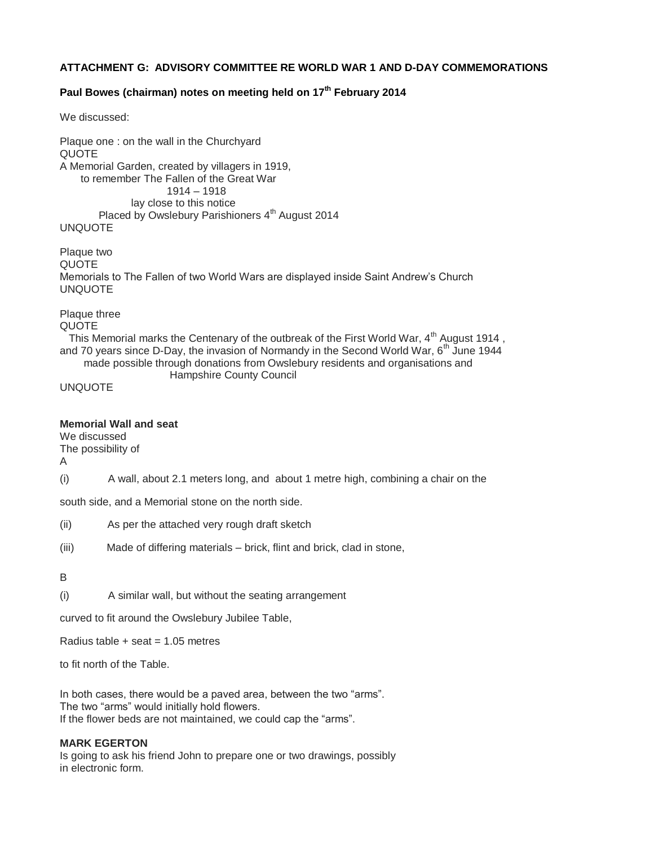### **ATTACHMENT G: ADVISORY COMMITTEE RE WORLD WAR 1 AND D-DAY COMMEMORATIONS**

### **Paul Bowes (chairman) notes on meeting held on 17th February 2014**

We discussed:

Plaque one : on the wall in the Churchyard QUOTE A Memorial Garden, created by villagers in 1919, to remember The Fallen of the Great War 1914 – 1918 lay close to this notice Placed by Owslebury Parishioners 4<sup>th</sup> August 2014 UNQUOTE

Plaque two QUOTE Memorials to The Fallen of two World Wars are displayed inside Saint Andrew's Church UNQUOTE

Plaque three

QUOTE

This Memorial marks the Centenary of the outbreak of the First World War,  $4<sup>th</sup>$  August 1914, and 70 years since D-Day, the invasion of Normandy in the Second World War,  $6^{th}$  June 1944 made possible through donations from Owslebury residents and organisations and

Hampshire County Council

UNQUOTE

#### **Memorial Wall and seat**

We discussed

The possibility of

A

(i) A wall, about 2.1 meters long, and about 1 metre high, combining a chair on the

south side, and a Memorial stone on the north side.

- (ii) As per the attached very rough draft sketch
- (iii) Made of differing materials brick, flint and brick, clad in stone,

#### B

(i) A similar wall, but without the seating arrangement

curved to fit around the Owslebury Jubilee Table,

Radius table  $+$  seat = 1.05 metres

to fit north of the Table.

In both cases, there would be a paved area, between the two "arms". The two "arms" would initially hold flowers. If the flower beds are not maintained, we could cap the "arms".

### **MARK EGERTON**

Is going to ask his friend John to prepare one or two drawings, possibly in electronic form.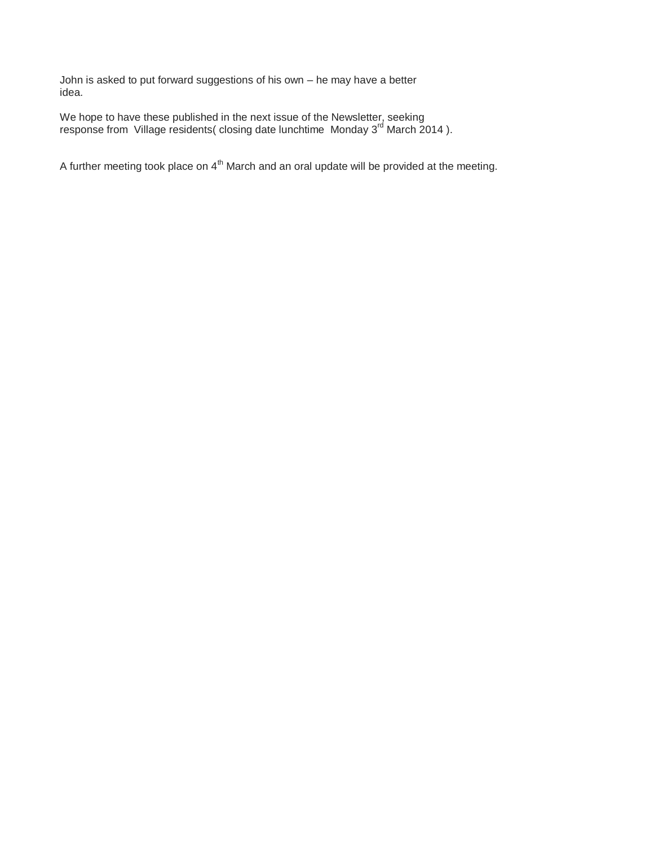John is asked to put forward suggestions of his own – he may have a better idea.

We hope to have these published in the next issue of the Newsletter, seeking response from Village residents( closing date lunchtime Monday 3<sup>rd</sup> March 2014).

A further meeting took place on  $4<sup>th</sup>$  March and an oral update will be provided at the meeting.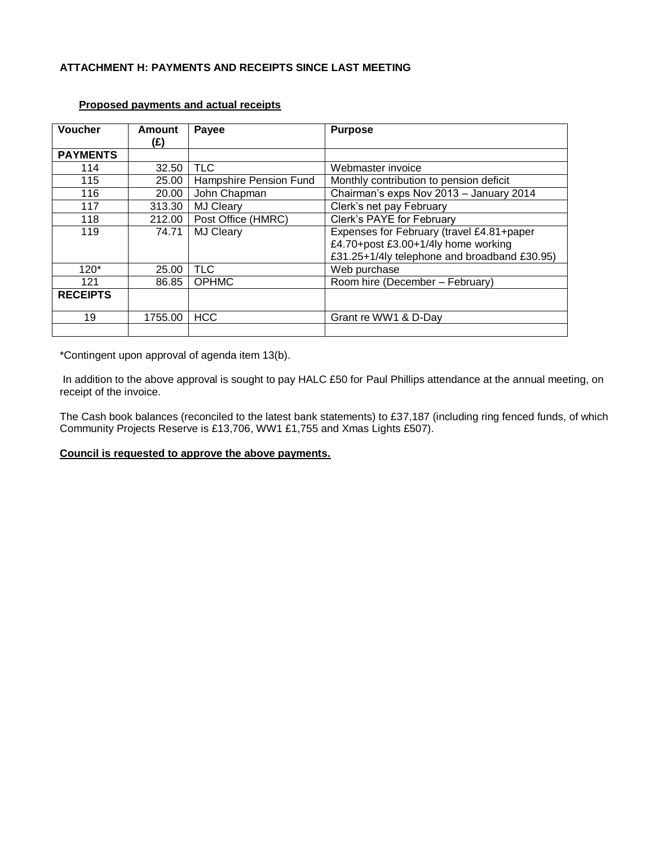### **ATTACHMENT H: PAYMENTS AND RECEIPTS SINCE LAST MEETING**

| <b>Voucher</b>  | Amount<br>(£) | Payee                  | <b>Purpose</b>                               |
|-----------------|---------------|------------------------|----------------------------------------------|
| <b>PAYMENTS</b> |               |                        |                                              |
| 114             | 32.50         | <b>TLC</b>             | Webmaster invoice                            |
| 115             | 25.00         | Hampshire Pension Fund | Monthly contribution to pension deficit      |
| 116             | 20.00         | John Chapman           | Chairman's exps Nov 2013 - January 2014      |
| 117             | 313.30        | <b>MJ Cleary</b>       | Clerk's net pay February                     |
| 118             | 212.00        | Post Office (HMRC)     | Clerk's PAYE for February                    |
| 119             | 74.71         | <b>MJ Cleary</b>       | Expenses for February (travel £4.81+paper    |
|                 |               |                        | £4.70+post £3.00+1/4ly home working          |
|                 |               |                        | £31.25+1/4ly telephone and broadband £30.95) |
| $120*$          | 25.00         | <b>TLC</b>             | Web purchase                                 |
| 121             | 86.85         | <b>OPHMC</b>           | Room hire (December - February)              |
| <b>RECEIPTS</b> |               |                        |                                              |
| 19              | 1755.00       | <b>HCC</b>             | Grant re WW1 & D-Day                         |
|                 |               |                        |                                              |

### **Proposed payments and actual receipts**

\*Contingent upon approval of agenda item 13(b).

In addition to the above approval is sought to pay HALC £50 for Paul Phillips attendance at the annual meeting, on receipt of the invoice.

The Cash book balances (reconciled to the latest bank statements) to £37,187 (including ring fenced funds, of which Community Projects Reserve is £13,706, WW1 £1,755 and Xmas Lights £507).

### **Council is requested to approve the above payments.**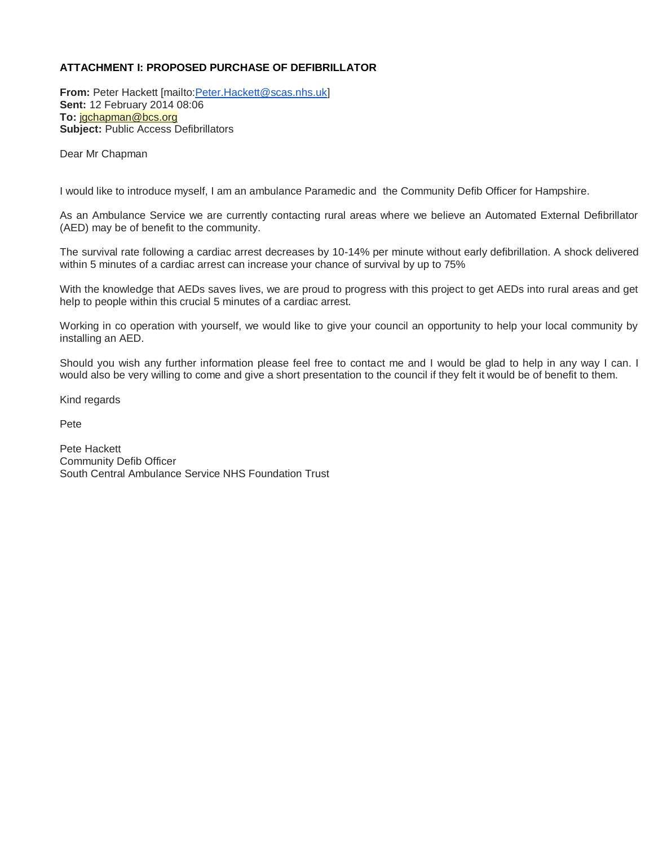### **ATTACHMENT I: PROPOSED PURCHASE OF DEFIBRILLATOR**

**From:** Peter Hackett [mailt[o:Peter.Hackett@scas.nhs.uk\]](mailto:Peter.Hackett@scas.nhs.uk) **Sent:** 12 February 2014 08:06 **To:** [jgchapman@bcs.org](mailto:jgchapman@bcs.org) **Subject:** Public Access Defibrillators

Dear Mr Chapman

I would like to introduce myself, I am an ambulance Paramedic and the Community Defib Officer for Hampshire.

As an Ambulance Service we are currently contacting rural areas where we believe an Automated External Defibrillator (AED) may be of benefit to the community.

The survival rate following a cardiac arrest decreases by 10-14% per minute without early defibrillation. A shock delivered within 5 minutes of a cardiac arrest can increase your chance of survival by up to 75%

With the knowledge that AEDs saves lives, we are proud to progress with this project to get AEDs into rural areas and get help to people within this crucial 5 minutes of a cardiac arrest.

Working in co operation with yourself, we would like to give your council an opportunity to help your local community by installing an AED.

Should you wish any further information please feel free to contact me and I would be glad to help in any way I can. I would also be very willing to come and give a short presentation to the council if they felt it would be of benefit to them.

Kind regards

Pete

Pete Hackett Community Defib Officer South Central Ambulance Service NHS Foundation Trust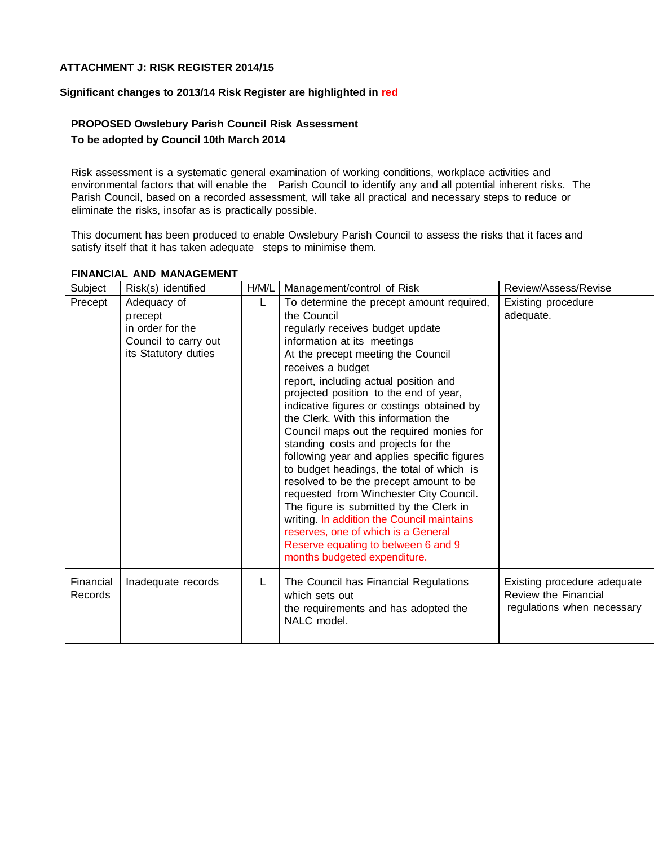### **ATTACHMENT J: RISK REGISTER 2014/15**

#### **Significant changes to 2013/14 Risk Register are highlighted in red**

## **PROPOSED Owslebury Parish Council Risk Assessment To be adopted by Council 10th March 2014**

Risk assessment is a systematic general examination of working conditions, workplace activities and environmental factors that will enable the Parish Council to identify any and all potential inherent risks. The Parish Council, based on a recorded assessment, will take all practical and necessary steps to reduce or eliminate the risks, insofar as is practically possible.

This document has been produced to enable Owslebury Parish Council to assess the risks that it faces and satisfy itself that it has taken adequate steps to minimise them.

| Subject              | Risk(s) identified                                                                         | H/M/L | Management/control of Risk                                                                                                                                                                                                                                                                                                                                                                                                                                                                                                                                                                                                                                                                                                                                                                                                                  | Review/Assess/Revise                                                                     |
|----------------------|--------------------------------------------------------------------------------------------|-------|---------------------------------------------------------------------------------------------------------------------------------------------------------------------------------------------------------------------------------------------------------------------------------------------------------------------------------------------------------------------------------------------------------------------------------------------------------------------------------------------------------------------------------------------------------------------------------------------------------------------------------------------------------------------------------------------------------------------------------------------------------------------------------------------------------------------------------------------|------------------------------------------------------------------------------------------|
| Precept              | Adequacy of<br>precept<br>in order for the<br>Council to carry out<br>its Statutory duties | L     | To determine the precept amount required,<br>the Council<br>regularly receives budget update<br>information at its meetings<br>At the precept meeting the Council<br>receives a budget<br>report, including actual position and<br>projected position to the end of year,<br>indicative figures or costings obtained by<br>the Clerk. With this information the<br>Council maps out the required monies for<br>standing costs and projects for the<br>following year and applies specific figures<br>to budget headings, the total of which is<br>resolved to be the precept amount to be<br>requested from Winchester City Council.<br>The figure is submitted by the Clerk in<br>writing. In addition the Council maintains<br>reserves, one of which is a General<br>Reserve equating to between 6 and 9<br>months budgeted expenditure. | Existing procedure<br>adequate.                                                          |
| Financial<br>Records | Inadequate records                                                                         | L     | The Council has Financial Regulations<br>which sets out<br>the requirements and has adopted the<br>NALC model.                                                                                                                                                                                                                                                                                                                                                                                                                                                                                                                                                                                                                                                                                                                              | Existing procedure adequate<br><b>Review the Financial</b><br>regulations when necessary |

### **FINANCIAL AND MANAGEMENT**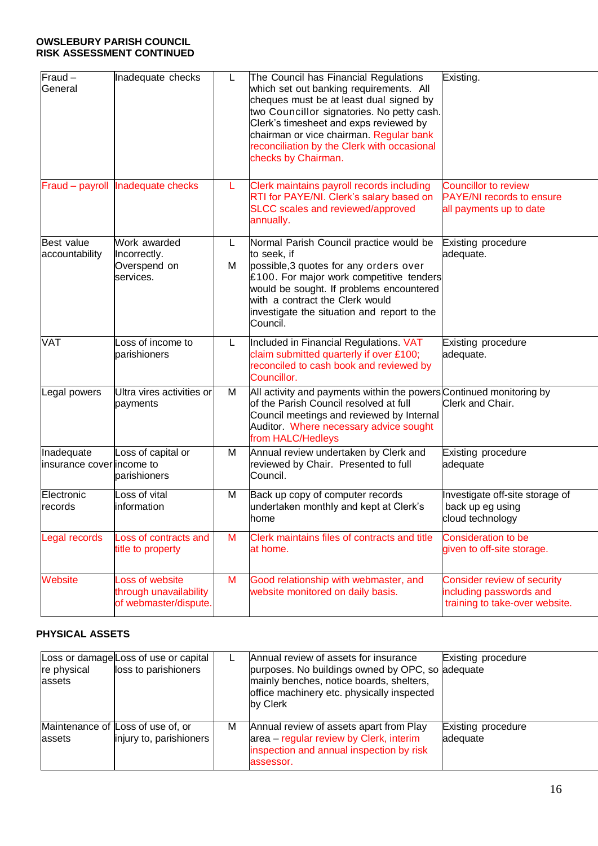### **OWSLEBURY PARISH COUNCIL RISK ASSESSMENT CONTINUED**

| $Fraud -$<br>General                    | Inadequate checks                                                  | L.      | The Council has Financial Regulations<br>which set out banking requirements. All<br>cheques must be at least dual signed by<br>two Councillor signatories. No petty cash.<br>Clerk's timesheet and exps reviewed by<br>chairman or vice chairman. Regular bank<br>reconciliation by the Clerk with occasional<br>checks by Chairman. | Existing.                                                                                  |
|-----------------------------------------|--------------------------------------------------------------------|---------|--------------------------------------------------------------------------------------------------------------------------------------------------------------------------------------------------------------------------------------------------------------------------------------------------------------------------------------|--------------------------------------------------------------------------------------------|
|                                         | Fraud - payroll Inadequate checks                                  | L.      | Clerk maintains payroll records including<br>RTI for PAYE/NI. Clerk's salary based on<br>SLCC scales and reviewed/approved<br>annually.                                                                                                                                                                                              | <b>Councillor to review</b><br><b>PAYE/NI</b> records to ensure<br>all payments up to date |
| <b>Best value</b><br>accountability     | Work awarded<br>Incorrectly.<br>Overspend on<br>services.          | L.<br>м | Normal Parish Council practice would be<br>to seek, if<br>possible, 3 quotes for any orders over<br>£100. For major work competitive tenders<br>would be sought. If problems encountered<br>with a contract the Clerk would<br>investigate the situation and report to the<br>Council.                                               | Existing procedure<br>adequate.                                                            |
| <b>VAT</b>                              | Loss of income to<br>parishioners                                  | L.      | Included in Financial Regulations. VAT<br>claim submitted quarterly if over £100;<br>reconciled to cash book and reviewed by<br>Councillor.                                                                                                                                                                                          | Existing procedure<br>adequate.                                                            |
| Legal powers                            | Ultra vires activities or<br>payments                              | м       | All activity and payments within the powers Continued monitoring by<br>of the Parish Council resolved at full<br>Council meetings and reviewed by Internal<br>Auditor. Where necessary advice sought<br>from HALC/Hedleys                                                                                                            | Clerk and Chair.                                                                           |
| Inadequate<br>insurance coverlincome to | Loss of capital or<br>parishioners                                 | м       | Annual review undertaken by Clerk and<br>reviewed by Chair. Presented to full<br>Council.                                                                                                                                                                                                                                            | Existing procedure<br>adequate                                                             |
| Electronic<br>records                   | Loss of vital<br>information                                       | M       | Back up copy of computer records<br>undertaken monthly and kept at Clerk's<br>home                                                                                                                                                                                                                                                   | Investigate off-site storage of<br>back up eg using<br>cloud technology                    |
| Legal records                           | Loss of contracts and<br>title to property                         | M       | Clerk maintains files of contracts and title<br>at home.                                                                                                                                                                                                                                                                             | <b>Consideration to be</b><br>given to off-site storage.                                   |
| Website                                 | Loss of website<br>through unavailability<br>of webmaster/dispute. | M       | Good relationship with webmaster, and<br>website monitored on daily basis.                                                                                                                                                                                                                                                           | Consider review of security<br>including passwords and<br>training to take-over website.   |

# **PHYSICAL ASSETS**

| re physical<br>assets | Loss or damage Loss of use or capital<br>loss to parishioners |   | Annual review of assets for insurance<br>purposes. No buildings owned by OPC, so adequate<br>mainly benches, notice boards, shelters,<br>office machinery etc. physically inspected<br>by Clerk | Existing procedure             |
|-----------------------|---------------------------------------------------------------|---|-------------------------------------------------------------------------------------------------------------------------------------------------------------------------------------------------|--------------------------------|
| assets                | Maintenance of Loss of use of, or<br>injury to, parishioners  | м | Annual review of assets apart from Play<br>area – regular review by Clerk, interim<br>inspection and annual inspection by risk<br>assessor.                                                     | Existing procedure<br>adequate |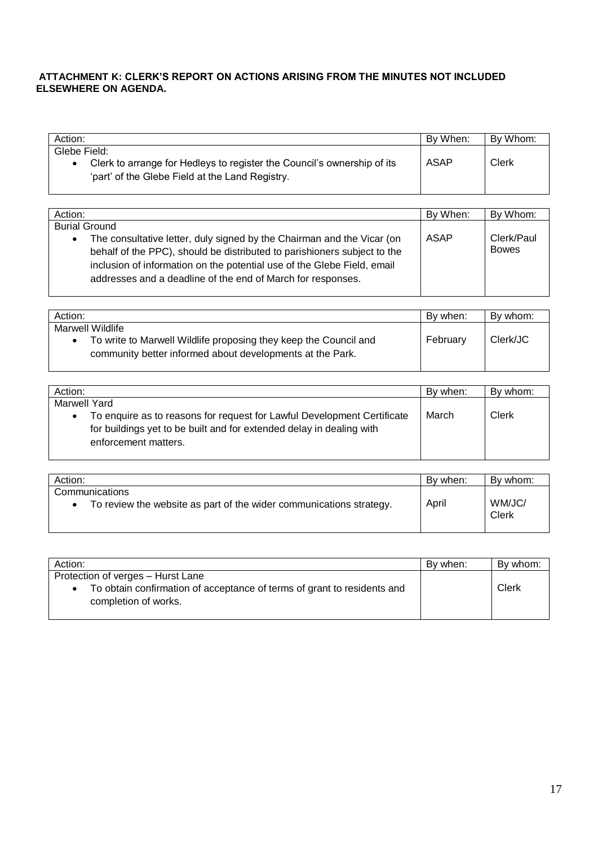## **ATTACHMENT K: CLERK'S REPORT ON ACTIONS ARISING FROM THE MINUTES NOT INCLUDED ELSEWHERE ON AGENDA.**

| Action:                                                                                                                                    | By When:    | By Whom: |
|--------------------------------------------------------------------------------------------------------------------------------------------|-------------|----------|
| Glebe Field:<br>Clerk to arrange for Hedleys to register the Council's ownership of its<br>'part' of the Glebe Field at the Land Registry. | <b>ASAP</b> | Clerk    |

| Action:                                                                                                                                                                                                                                                                                                   | By When:    | By Whom:                   |
|-----------------------------------------------------------------------------------------------------------------------------------------------------------------------------------------------------------------------------------------------------------------------------------------------------------|-------------|----------------------------|
| <b>Burial Ground</b>                                                                                                                                                                                                                                                                                      |             |                            |
| The consultative letter, duly signed by the Chairman and the Vicar (on<br>$\bullet$<br>behalf of the PPC), should be distributed to parishioners subject to the<br>inclusion of information on the potential use of the Glebe Field, email<br>addresses and a deadline of the end of March for responses. | <b>ASAP</b> | Clerk/Paul<br><b>Bowes</b> |

| Action:                                                                                                                                           | By when: | By whom: |
|---------------------------------------------------------------------------------------------------------------------------------------------------|----------|----------|
| Marwell Wildlife<br>To write to Marwell Wildlife proposing they keep the Council and<br>community better informed about developments at the Park. | February | Clerk/JC |

| Action:                                                                              | By when: | By whom: |
|--------------------------------------------------------------------------------------|----------|----------|
| Marwell Yard                                                                         |          |          |
| To enquire as to reasons for request for Lawful Development Certificate<br>$\bullet$ | March    | Clerk    |
| for buildings yet to be built and for extended delay in dealing with                 |          |          |
| enforcement matters.                                                                 |          |          |
|                                                                                      |          |          |

| Action:                                                                               | By when: | By whom:        |
|---------------------------------------------------------------------------------------|----------|-----------------|
| Communications<br>To review the website as part of the wider communications strategy. | April    | WM/JC/<br>Clerk |

| Action:                                                                 | By when: | By whom: |
|-------------------------------------------------------------------------|----------|----------|
| Protection of verges - Hurst Lane                                       |          |          |
| To obtain confirmation of acceptance of terms of grant to residents and |          | Clerk    |
| completion of works.                                                    |          |          |
|                                                                         |          |          |